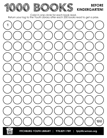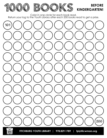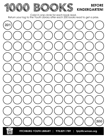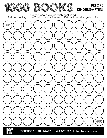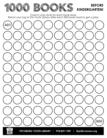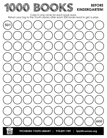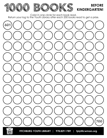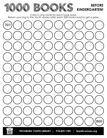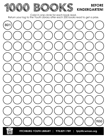